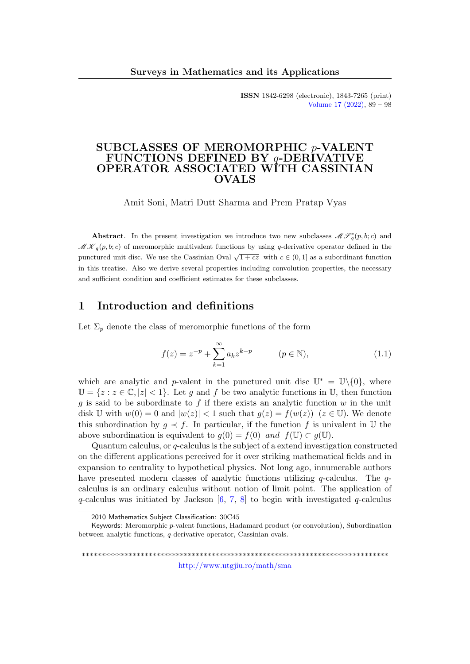ISSN 1842-6298 (electronic), 1843-7265 (print) [Volume 17 \(2022\),](http://www.utgjiu.ro/math/sma/v17/v17.html) 89 – 98

### SUBCLASSES OF MEROMORPHIC p-VALENT FUNCTIONS DEFINED BY q-DERIVATIVE OPERATOR ASSOCIATED WITH CASSINIAN OVALS

Amit Soni, Matri Dutt Sharma and Prem Pratap Vyas

Abstract. In the present investigation we introduce two new subclasses  $\mathcal{MF}_{q}^*(p, b; c)$  and  $\mathcal{MK}_q(p, b; c)$  of meromorphic multivalent functions by using q-derivative operator defined in the punctured unit disc. We use the Cassinian Oval  $\sqrt{1+cz}$  with  $c \in (0,1]$  as a subordinant function in this treatise. Also we derive several properties including convolution properties, the necessary and sufficient condition and coefficient estimates for these subclasses.

### 1 Introduction and definitions

Let  $\Sigma_n$  denote the class of meromorphic functions of the form

<span id="page-0-0"></span>
$$
f(z) = z^{-p} + \sum_{k=1}^{\infty} a_k z^{k-p} \qquad (p \in \mathbb{N}),
$$
 (1.1)

which are analytic and p-valent in the punctured unit disc  $\mathbb{U}^* = \mathbb{U}\backslash\{0\}$ , where  $\mathbb{U} = \{z : z \in \mathbb{C}, |z| < 1\}$ . Let g and f be two analytic functions in U, then function q is said to be subordinate to f if there exists an analytic function  $w$  in the unit disk U with  $w(0) = 0$  and  $|w(z)| < 1$  such that  $q(z) = f(w(z))$   $(z \in \mathbb{U})$ . We denote this subordination by  $g \prec f$ . In particular, if the function f is univalent in U the above subordination is equivalent to  $g(0) = f(0)$  and  $f(\mathbb{U}) \subset g(\mathbb{U})$ .

Quantum calculus, or q-calculus is the subject of a extend investigation constructed on the different applications perceived for it over striking mathematical fields and in expansion to centrality to hypothetical physics. Not long ago, innumerable authors have presented modern classes of analytic functions utilizing  $q$ -calculus. The  $q$ calculus is an ordinary calculus without notion of limit point. The application of q-calculus was initiated by Jackson  $[6, 7, 8]$  $[6, 7, 8]$  $[6, 7, 8]$  $[6, 7, 8]$  $[6, 7, 8]$  to begin with investigated q-calculus

\*\*\*\*\*\*\*\*\*\*\*\*\*\*\*\*\*\*\*\*\*\*\*\*\*\*\*\*\*\*\*\*\*\*\*\*\*\*\*\*\*\*\*\*\*\*\*\*\*\*\*\*\*\*\*\*\*\*\*\*\*\*\*\*\*\*\*\*\*\*\*\*\*\*\*\*\*\* <http://www.utgjiu.ro/math/sma>

<sup>2010</sup> Mathematics Subject Classification: 30C45

Keywords: Meromorphic p-valent functions, Hadamard product (or convolution), Subordination between analytic functions, q-derivative operator, Cassinian ovals.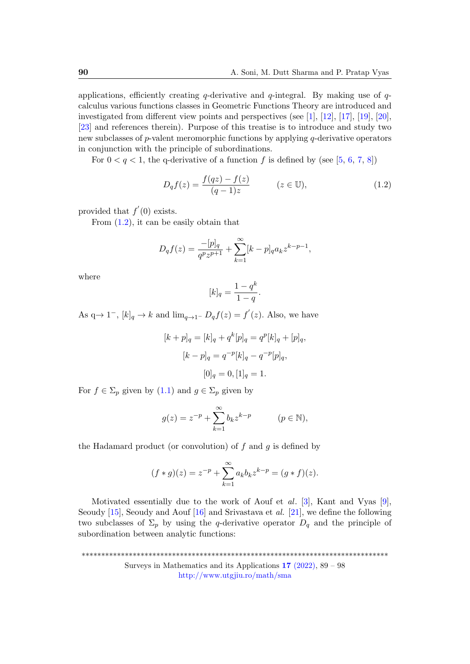applications, efficiently creating q-derivative and  $q$ -integral. By making use of  $q$ calculus various functions classes in Geometric Functions Theory are introduced and investigated from different view points and perspectives (see [\[1\]](#page-7-3), [\[12\]](#page-7-4), [\[17\]](#page-8-0), [\[19\]](#page-8-1), [\[20\]](#page-8-2), [\[23\]](#page-8-3) and references therein). Purpose of this treatise is to introduce and study two new subclasses of  $p$ -valent meromorphic functions by applying  $q$ -derivative operators in conjunction with the principle of subordinations.

For  $0 < q < 1$ , the q-derivative of a function f is defined by (see [\[5,](#page-7-5) [6,](#page-7-0) [7,](#page-7-1) [8\]](#page-7-2))

<span id="page-1-0"></span>
$$
D_q f(z) = \frac{f(qz) - f(z)}{(q - 1)z} \qquad (z \in \mathbb{U}),
$$
 (1.2)

provided that  $f'(0)$  exists.

From  $(1.2)$ , it can be easily obtain that

$$
D_q f(z) = \frac{-[p]_q}{q^p z^{p+1}} + \sum_{k=1}^{\infty} [k-p]_q a_k z^{k-p-1},
$$

where

$$
[k]_q = \frac{1 - q^k}{1 - q}.
$$

As  $q \rightarrow 1^-$ ,  $[k]_q \rightarrow k$  and  $\lim_{q \rightarrow 1^-} D_q f(z) = f'(z)$ . Also, we have

$$
[k+p]_q = [k]_q + q^k [p]_q = q^p [k]_q + [p]_q,
$$
  

$$
[k-p]_q = q^{-p} [k]_q - q^{-p} [p]_q,
$$
  

$$
[0]_q = 0, [1]_q = 1.
$$

For  $f \in \Sigma_p$  given by  $(1.1)$  and  $g \in \Sigma_p$  given by

$$
g(z) = z^{-p} + \sum_{k=1}^{\infty} b_k z^{k-p} \qquad (p \in \mathbb{N}),
$$

the Hadamard product (or convolution) of  $f$  and  $g$  is defined by

$$
(f * g)(z) = z^{-p} + \sum_{k=1}^{\infty} a_k b_k z^{k-p} = (g * f)(z).
$$

Motivated essentially due to the work of Aouf et al.  $[3]$ , Kant and Vyas  $[9]$ , Seoudy  $[15]$ , Seoudy and Aouf  $[16]$  and Srivastava et al.  $[21]$ , we define the following two subclasses of  $\Sigma_p$  by using the q-derivative operator  $D_q$  and the principle of subordination between analytic functions:

\*\*\*\*\*\*\*\*\*\*\*\*\*\*\*\*\*\*\*\*\*\*\*\*\*\*\*\*\*\*\*\*\*\*\*\*\*\*\*\*\*\*\*\*\*\*\*\*\*\*\*\*\*\*\*\*\*\*\*\*\*\*\*\*\*\*\*\*\*\*\*\*\*\*\*\*\*\* Surveys in Mathematics and its Applications 17 [\(2022\),](http://www.utgjiu.ro/math/sma/v17/v17.html) 89 – 98 <http://www.utgjiu.ro/math/sma>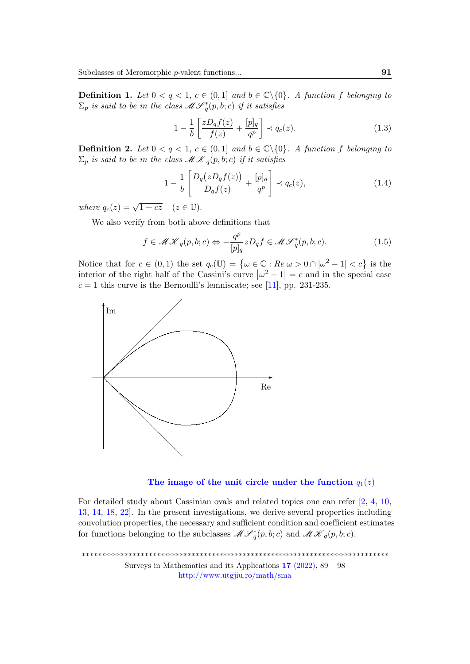**Definition 1.** Let  $0 < q < 1$ ,  $c \in (0,1]$  and  $b \in \mathbb{C} \setminus \{0\}$ . A function f belonging to  $\Sigma_p$  is said to be in the class  $\mathscr{M}\mathscr{S}_q^*(p,b;c)$  if it satisfies

<span id="page-2-0"></span>
$$
1 - \frac{1}{b} \left[ \frac{zD_q f(z)}{f(z)} + \frac{[p]_q}{q^p} \right] \prec q_c(z). \tag{1.3}
$$

**Definition 2.** Let  $0 < q < 1$ ,  $c \in (0,1]$  and  $b \in \mathbb{C} \setminus \{0\}$ . A function f belonging to  $\Sigma_p$  is said to be in the class  $\mathcal{MK}_q(p, b; c)$  if it satisfies

$$
1 - \frac{1}{b} \left[ \frac{D_q(zD_qf(z))}{D_qf(z)} + \frac{[p]_q}{q^p} \right] \prec q_c(z), \tag{1.4}
$$

where  $q_c(z) = \sqrt{1 + cz}$   $(z \in \mathbb{U}).$ 

We also verify from both above definitions that

<span id="page-2-1"></span>
$$
f \in \mathcal{MK}_q(p, b; c) \Leftrightarrow -\frac{q^p}{[p]_q} z D_q f \in \mathcal{MF}_q^*(p, b; c).
$$
 (1.5)

Notice that for  $c \in (0,1)$  the set  $q_c(\mathbb{U}) = \{ \omega \in \mathbb{C} : Re \ \omega > 0 \cap |\omega^2 - 1| < c \}$  is the interior of the right half of the Cassini's curve  $|\omega^2 - 1| = c$  and in the special case  $c = 1$  this curve is the Bernoulli's lemniscate; see [\[11\]](#page-7-8), pp. 231-235.





For detailed study about Cassinian ovals and related topics one can refer [\[2,](#page-7-9) [4,](#page-7-10) [10,](#page-7-11) [13,](#page-7-12) [14,](#page-8-7) [18,](#page-8-8) [22\]](#page-8-9). In the present investigations, we derive several properties including convolution properties, the necessary and sufficient condition and coefficient estimates for functions belonging to the subclasses  $\mathcal{MF}^*_q(p, b; c)$  and  $\mathcal{MK}_q(p, b; c)$ .

\*\*\*\*\*\*\*\*\*\*\*\*\*\*\*\*\*\*\*\*\*\*\*\*\*\*\*\*\*\*\*\*\*\*\*\*\*\*\*\*\*\*\*\*\*\*\*\*\*\*\*\*\*\*\*\*\*\*\*\*\*\*\*\*\*\*\*\*\*\*\*\*\*\*\*\*\*\* Surveys in Mathematics and its Applications  $17$  [\(2022\),](http://www.utgjiu.ro/math/sma/v17/v17.html) 89 – 98 <http://www.utgjiu.ro/math/sma>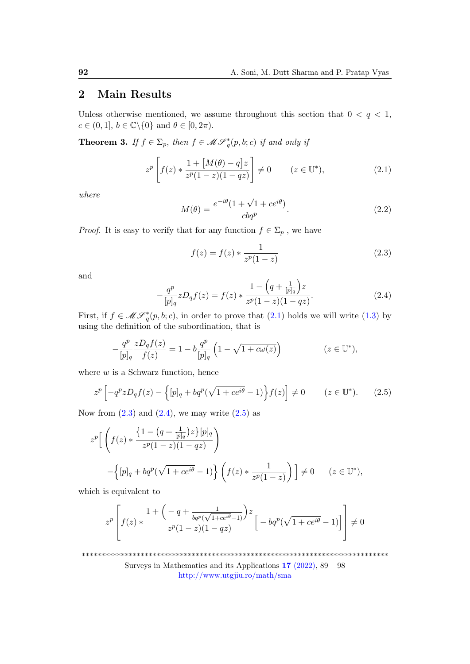# 2 Main Results

Unless otherwise mentioned, we assume throughout this section that  $0 < q < 1$ ,  $c \in (0, 1], b \in \mathbb{C} \backslash \{0\}$  and  $\theta \in [0, 2\pi)$ .

<span id="page-3-4"></span>**Theorem 3.** If  $f \in \Sigma_p$ , then  $f \in \mathcal{MF}_q^*(p, b; c)$  if and only if

<span id="page-3-0"></span>
$$
z^{p}\left[f(z) * \frac{1 + [M(\theta) - q]z}{z^{p}(1 - z)(1 - qz)}\right] \neq 0 \qquad (z \in \mathbb{U}^{*}),
$$
\n(2.1)

where

<span id="page-3-5"></span>
$$
M(\theta) = \frac{e^{-i\theta}(1 + \sqrt{1 + ce^{i\theta}})}{cbq^p}.
$$
\n(2.2)

*Proof.* It is easy to verify that for any function  $f \in \Sigma_p$ , we have

<span id="page-3-1"></span>
$$
f(z) = f(z) * \frac{1}{z^p(1-z)}
$$
\n(2.3)

and

<span id="page-3-2"></span>
$$
-\frac{q^{p}}{[p]_{q}}zD_{q}f(z) = f(z) * \frac{1 - \left(q + \frac{1}{[p]_{q}}\right)z}{z^{p}(1 - z)(1 - qz)}.
$$
\n(2.4)

First, if  $f \in \mathcal{MF}_{q}^{*}(p, b; c)$ , in order to prove that  $(2.1)$  holds we will write  $(1.3)$  by using the definition of the subordination, that is

$$
-\frac{q^p}{[p]_q}\frac{zD_qf(z)}{f(z)} = 1 - b\frac{q^p}{[p]_q} \left(1 - \sqrt{1 + c\omega(z)}\right) \qquad (z \in \mathbb{U}^*),
$$

where  $w$  is a Schwarz function, hence

<span id="page-3-3"></span>
$$
z^{p}\left[-q^{p}zD_{q}f(z)-\left\{[p]_{q}+bq^{p}(\sqrt{1+ce^{i\theta}}-1)\right\}f(z)\right]\neq0\qquad(z\in\mathbb{U}^{*}).\qquad(2.5)
$$

Now from  $(2.3)$  and  $(2.4)$ , we may write  $(2.5)$  as

$$
z^{p}\left[\left(f(z) * \frac{\left\{1 - \left(q + \frac{1}{|p|_{q}}\right)z\right\}[p]_{q}}{z^{p}(1-z)(1-qz)}\right) - \left\{|p]_{q} + bq^{p}(\sqrt{1+ce^{i\theta}} - 1)\right\}\left(f(z) * \frac{1}{z^{p}(1-z)}\right)\right] \neq 0 \qquad (z \in \mathbb{U}^{*}),
$$

which is equivalent to

$$
z^{p}\left[f(z) * \frac{1+\left(-q + \frac{1}{bq^{p}(\sqrt{1+ce^{i\theta}-1)}}\right)z}{z^{p}(1-z)(1-qz)}\Big[-bq^{p}(\sqrt{1+ce^{i\theta}}-1)\Big]\right] \neq 0
$$

\*\*\*\*\*\*\*\*\*\*\*\*\*\*\*\*\*\*\*\*\*\*\*\*\*\*\*\*\*\*\*\*\*\*\*\*\*\*\*\*\*\*\*\*\*\*\*\*\*\*\*\*\*\*\*\*\*\*\*\*\*\*\*\*\*\*\*\*\*\*\*\*\*\*\*\*\*\*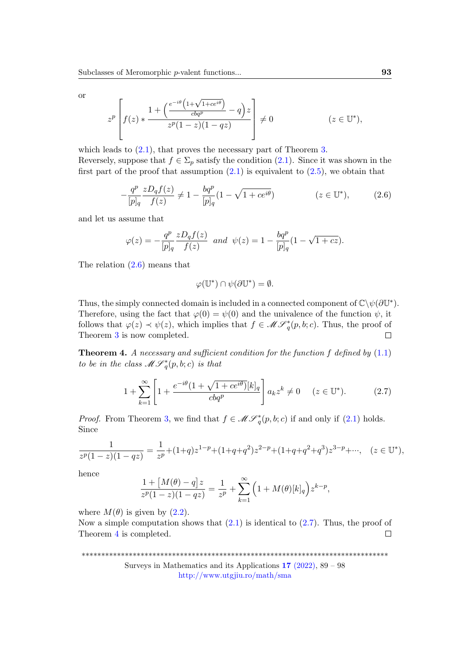or

$$
z^{p}\left[f(z) * \frac{1 + \left(\frac{e^{-i\theta}\left(1 + \sqrt{1 + ce^{i\theta}}\right)}{cbq^{p}} - q\right)z}{z^{p}(1-z)(1-qz)}\right] \neq 0 \qquad (z \in \mathbb{U}^{*}),
$$

which leads to  $(2.1)$ , that proves the necessary part of Theorem [3.](#page-3-4) Reversely, suppose that  $f \in \Sigma_p$  satisfy the condition  $(2.1)$ . Since it was shown in the first part of the proof that assumption  $(2.1)$  is equivalent to  $(2.5)$ , we obtain that

<span id="page-4-0"></span>
$$
-\frac{q^p}{[p]_q}\frac{zD_qf(z)}{f(z)} \neq 1 - \frac{bq^p}{[p]_q}(1 - \sqrt{1 + ce^{i\theta}})
$$
  $(z \in \mathbb{U}^*),$  (2.6)

and let us assume that

$$
\varphi(z) = -\frac{q^p}{[p]_q} \frac{z D_q f(z)}{f(z)} \text{ and } \psi(z) = 1 - \frac{b q^p}{[p]_q} (1 - \sqrt{1 + cz}).
$$

The relation [\(2.6\)](#page-4-0) means that

$$
\varphi(\mathbb{U}^*) \cap \psi(\partial \mathbb{U}^*) = \emptyset.
$$

Thus, the simply connected domain is included in a connected component of  $\mathbb{C}\backslash\psi(\partial\mathbb{U}^*)$ . Therefore, using the fact that  $\varphi(0) = \psi(0)$  and the univalence of the function  $\psi$ , it follows that  $\varphi(z) \prec \psi(z)$ , which implies that  $f \in \mathcal{MF}^*_q(p, b; c)$ . Thus, the proof of Theorem [3](#page-3-4) is now completed.  $\Box$ 

<span id="page-4-2"></span>**Theorem 4.** A necessary and sufficient condition for the function f defined by  $(1.1)$ to be in the class  $\mathscr{M}\mathscr{S}_q^*(p,b;c)$  is that

<span id="page-4-1"></span>
$$
1 + \sum_{k=1}^{\infty} \left[ 1 + \frac{e^{-i\theta} (1 + \sqrt{1 + ce^{i\theta})} [k]_q}{cbq^p} \right] a_k z^k \neq 0 \quad (z \in \mathbb{U}^*). \tag{2.7}
$$

*Proof.* From Theorem [3,](#page-3-4) we find that  $f \in \mathcal{MF}_{q}^{*}(p, b; c)$  if and only if [\(2.1\)](#page-3-0) holds. Since

$$
\frac{1}{z^p(1-z)(1-qz)} = \frac{1}{z^p} + (1+q)z^{1-p} + (1+q+q^2)z^{2-p} + (1+q+q^2+q^3)z^{3-p} + \cdots, \quad (z \in \mathbb{U}^*),
$$

hence

$$
\frac{1 + [M(\theta) - q]z}{z^p (1 - z)(1 - qz)} = \frac{1}{z^p} + \sum_{k=1}^{\infty} \left(1 + M(\theta)[k]_q\right) z^{k - p},
$$

where  $M(\theta)$  is given by  $(2.2)$ .

Now a simple computation shows that  $(2.1)$  is identical to  $(2.7)$ . Thus, the proof of Theorem [4](#page-4-2) is completed.  $\Box$ 

\*\*\*\*\*\*\*\*\*\*\*\*\*\*\*\*\*\*\*\*\*\*\*\*\*\*\*\*\*\*\*\*\*\*\*\*\*\*\*\*\*\*\*\*\*\*\*\*\*\*\*\*\*\*\*\*\*\*\*\*\*\*\*\*\*\*\*\*\*\*\*\*\*\*\*\*\*\*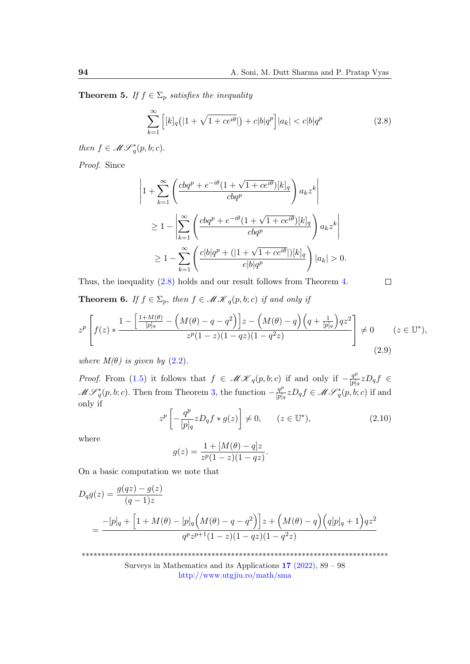$\Box$ 

<span id="page-5-4"></span>**Theorem 5.** If  $f \in \Sigma_p$  satisfies the inequality

<span id="page-5-0"></span>
$$
\sum_{k=1}^{\infty} \left[ [k]_q (|1 + \sqrt{1 + ce^{i\theta}}|) + c|b|q^p \right] |a_k| < c|b|q^p \tag{2.8}
$$

then  $f \in \mathcal{MF}^*_q(p, b; c)$ .

Proof. Since

$$
\left|1 + \sum_{k=1}^{\infty} \left(\frac{cbq^p + e^{-i\theta}(1 + \sqrt{1 + ce^{i\theta}})[k]_q}{cbq^p}\right) a_k z^k\right|
$$
  
\n
$$
\geq 1 - \left|\sum_{k=1}^{\infty} \left(\frac{cbq^p + e^{-i\theta}(1 + \sqrt{1 + ce^{i\theta}})[k]_q}{cbq^p}\right) a_k z^k\right|
$$
  
\n
$$
\geq 1 - \sum_{k=1}^{\infty} \left(\frac{cb|q^p + (1 + \sqrt{1 + ce^{i\theta}})[k]_q}{c|b|q^p}\right) |a_k| > 0.
$$

Thus, the inequality [\(2.8\)](#page-5-0) holds and our result follows from Theorem [4.](#page-4-2)

<span id="page-5-3"></span>**Theorem 6.** If  $f \in \Sigma_p$ , then  $f \in \mathcal{MK}_q(p, b; c)$  if and only if

<span id="page-5-2"></span>
$$
z^{p}\left[f(z) * \frac{1 - \left[\frac{1 + M(\theta)}{[p]_q} - \left(M(\theta) - q - q^2\right)\right]z - \left(M(\theta) - q\right)\left(q + \frac{1}{[p]_q}\right)qz^2}{z^p(1 - z)(1 - qz)(1 - q^2z)}\right] \neq 0 \qquad (z \in \mathbb{U}^*),\tag{2.9}
$$

where  $M(\theta)$  is given by  $(2.2)$ .

*Proof.* From [\(1.5\)](#page-2-1) it follows that  $f \in \mathcal{MK}_q(p,b;c)$  if and only if  $-\frac{q^p}{|p|}$  $\frac{q^{\nu}}{[p]_q}zD_qf \in$  $\mathscr{M}\mathscr{S}_{q}^{*}(p, b; c)$ . Then from Theorem [3,](#page-3-4) the function  $-\frac{q^{p}}{|p|}$  $\frac{q^p}{[p]_q} z D_q f \in \mathcal{MF}^*_q(p, b; c)$  if and only if

<span id="page-5-1"></span>
$$
z^{p}\left[-\frac{q^{p}}{[p]_{q}}zD_{q}f*g(z)\right] \neq 0, \qquad (z \in \mathbb{U}^{*}), \tag{2.10}
$$

where

$$
g(z) = \frac{1 + [M(\theta) - q]z}{z^p(1 - z)(1 - qz)}.
$$

On a basic computation we note that

$$
D_q g(z) = \frac{g(qz) - g(z)}{(q-1)z}
$$
  
= 
$$
\frac{-[p]_q + [1 + M(\theta) - [p]_q (M(\theta) - q - q^2)] z + (M(\theta) - q) (q[p]_q + 1) q z^2}{q^p z^{p+1} (1-z)(1-qz)(1-q^2 z)}
$$

\*\*\*\*\*\*\*\*\*\*\*\*\*\*\*\*\*\*\*\*\*\*\*\*\*\*\*\*\*\*\*\*\*\*\*\*\*\*\*\*\*\*\*\*\*\*\*\*\*\*\*\*\*\*\*\*\*\*\*\*\*\*\*\*\*\*\*\*\*\*\*\*\*\*\*\*\*\*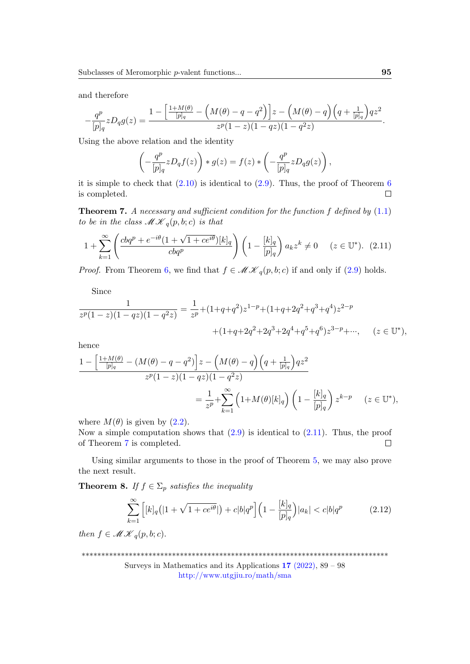and therefore

$$
-\frac{q^p}{[p]_q}zD_qg(z) = \frac{1 - \left[\frac{1 + M(\theta)}{[p]_q} - \left(M(\theta) - q - q^2\right)\right]z - \left(M(\theta) - q\right)\left(q + \frac{1}{[p]_q}\right)qz^2}{z^p(1 - z)(1 - qz)(1 - q^2z)}.
$$

Using the above relation and the identity

$$
\left(-\frac{q^p}{[p]_q} z D_q f(z)\right) * g(z) = f(z) * \left(-\frac{q^p}{[p]_q} z D_q g(z)\right),
$$

it is simple to check that  $(2.10)$  is identical to  $(2.9)$ . Thus, the proof of Theorem [6](#page-5-3)  $\Box$ is completed.

<span id="page-6-1"></span>**Theorem 7.** A necessary and sufficient condition for the function  $f$  defined by  $(1.1)$ to be in the class  $\mathscr{M} \mathscr{K}_q(p, b; c)$  is that

<span id="page-6-0"></span>
$$
1 + \sum_{k=1}^{\infty} \left( \frac{cbq^p + e^{-i\theta} (1 + \sqrt{1 + ce^{i\theta}})[k]_q}{cbq^p} \right) \left( 1 - \frac{[k]_q}{[p]_q} \right) a_k z^k \neq 0 \quad (z \in \mathbb{U}^*). \tag{2.11}
$$

*Proof.* From Theorem [6,](#page-5-3) we find that  $f \in \mathcal{MK}_q(p, b; c)$  if and only if [\(2.9\)](#page-5-2) holds.

Since

$$
\frac{1}{z^p(1-z)(1-qz)(1-q^2z)} = \frac{1}{z^p} + (1+q+q^2)z^{1-p} + (1+q+2q^2+q^3+q^4)z^{2-p} + (1+q+2q^2+2q^3+2q^4+q^5+q^6)z^{3-p} + \cdots, \quad (z \in \mathbb{U}^*),
$$

hence

$$
\frac{1 - \left[\frac{1 + M(\theta)}{[p]_q} - (M(\theta) - q - q^2)\right]z - \left(M(\theta) - q\right)\left(q + \frac{1}{[p]_q}\right)qz^2}{z^p(1 - z)(1 - qz)(1 - q^2z)} \\
= \frac{1}{z^p} + \sum_{k=1}^{\infty} \left(1 + M(\theta)[k]_q\right)\left(1 - \frac{[k]_q}{[p]_q}\right)z^{k - p} \quad (z \in \mathbb{U}^*),
$$

where  $M(\theta)$  is given by  $(2.2)$ .

Now a simple computation shows that  $(2.9)$  is identical to  $(2.11)$ . Thus, the proof of Theorem [7](#page-6-1) is completed.  $\Box$ 

Using similar arguments to those in the proof of Theorem [5,](#page-5-4) we may also prove the next result.

**Theorem 8.** If  $f \in \Sigma_p$  satisfies the inequality

$$
\sum_{k=1}^{\infty} \left[ [k]_q (|1 + \sqrt{1 + ce^{i\theta}}|) + c|b|q^p \right] \left( 1 - \frac{[k]_q}{[p]_q} \right) |a_k| < c|b|q^p \tag{2.12}
$$

then  $f \in \mathcal{MK}_q(p, b; c)$ .

\*\*\*\*\*\*\*\*\*\*\*\*\*\*\*\*\*\*\*\*\*\*\*\*\*\*\*\*\*\*\*\*\*\*\*\*\*\*\*\*\*\*\*\*\*\*\*\*\*\*\*\*\*\*\*\*\*\*\*\*\*\*\*\*\*\*\*\*\*\*\*\*\*\*\*\*\*\*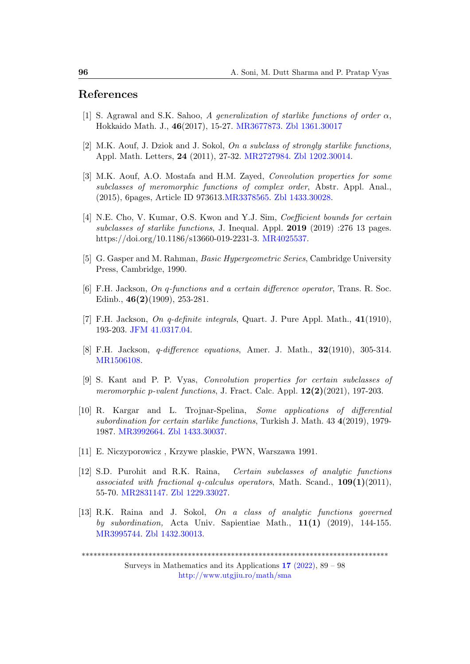### References

- <span id="page-7-3"></span>[1] S. Agrawal and S.K. Sahoo, A generalization of starlike functions of order  $\alpha$ , Hokkaido Math. J., 46(2017), 15-27. [MR3677873.](http://www.ams.org/mathscinet-getitem?mr=3677873) [Zbl 1361.30017](https://zbmath.org/?q=an:1361.30017)
- <span id="page-7-9"></span>[2] M.K. Aouf, J. Dziok and J. Sokol, *On a subclass of strongly starlike functions*. Appl. Math. Letters, 24 (2011), 27-32. [MR2727984.](http://www.ams.org/mathscinet-getitem?mr=2727984) [Zbl 1202.30014.](https://zbmath.org/?q=an:1202.30014)
- <span id="page-7-6"></span>[3] M.K. Aouf, A.O. Mostafa and H.M. Zayed, Convolution properties for some subclasses of meromorphic functions of complex order, Abstr. Appl. Anal., (2015), 6pages, Article ID 973613[.MR3378565.](http://www.ams.org/mathscinet-getitem?mr=3378565) [Zbl 1433.30028.](https://zbmath.org/?q=an:1433.30028)
- <span id="page-7-10"></span>[4] N.E. Cho, V. Kumar, O.S. Kwon and Y.J. Sim, Coefficient bounds for certain subclasses of starlike functions, J. Inequal. Appl. 2019 (2019) :276 13 pages. https://doi.org/10.1186/s13660-019-2231-3. [MR4025537.](http://www.ams.org/mathscinet-getitem?mr=4025537)
- <span id="page-7-5"></span>[5] G. Gasper and M. Rahman, Basic Hypergeometric Series, Cambridge University Press, Cambridge, 1990.
- <span id="page-7-0"></span>[6] F.H. Jackson, On q-functions and a certain difference operator, Trans. R. Soc. Edinb., 46(2)(1909), 253-281.
- <span id="page-7-1"></span>[7] F.H. Jackson, On q-definite integrals, Quart. J. Pure Appl. Math., 41(1910), 193-203. [JFM 41.0317.04.](https://zbmath.org/?q=an:41.0317.04)
- <span id="page-7-2"></span>[8] F.H. Jackson, q-difference equations, Amer. J. Math., 32(1910), 305-314. [MR1506108.](http://www.ams.org/mathscinet-getitem?mr=1506108)
- <span id="page-7-7"></span>[9] S. Kant and P. P. Vyas, Convolution properties for certain subclasses of meromorphic p-valent functions, J. Fract. Calc. Appl.  $12(2)(2021)$ , 197-203.
- <span id="page-7-11"></span>[10] R. Kargar and L. Trojnar-Spelina, Some applications of differential subordination for certain starlike functions, Turkish J. Math. 43 4(2019), 1979- 1987. [MR3992664.](http://www.ams.org/mathscinet-getitem?mr=3992664) [Zbl 1433.30037.](https://zbmath.org/?q=an:1433.30037)
- <span id="page-7-8"></span>[11] E. Niczyporowicz , Krzywe plaskie, PWN, Warszawa 1991.
- <span id="page-7-4"></span>[12] S.D. Purohit and R.K. Raina, Certain subclasses of analytic functions associated with fractional q-calculus operators, Math. Scand.,  $109(1)(2011)$ , 55-70. [MR2831147.](http://www.ams.org/mathscinet-getitem?mr=2831147) [Zbl 1229.33027.](https://zbmath.org/?q=an:1229.33027)
- <span id="page-7-12"></span>[13] R.K. Raina and J. Sokol, On a class of analytic functions governed by subordination, Acta Univ. Sapientiae Math., 11(1) (2019), 144-155. [MR3995744.](http://www.ams.org/mathscinet-getitem?mr=3995744) [Zbl 1432.30013.](https://zbmath.org/?q=an:1432.30013)

<sup>\*\*\*\*\*\*\*\*\*\*\*\*\*\*\*\*\*\*\*\*\*\*\*\*\*\*\*\*\*\*\*\*\*\*\*\*\*\*\*\*\*\*\*\*\*\*\*\*\*\*\*\*\*\*\*\*\*\*\*\*\*\*\*\*\*\*\*\*\*\*\*\*\*\*\*\*\*\*</sup>

Surveys in Mathematics and its Applications 17 [\(2022\),](http://www.utgjiu.ro/math/sma/v17/v17.html) 89 – 98 <http://www.utgjiu.ro/math/sma>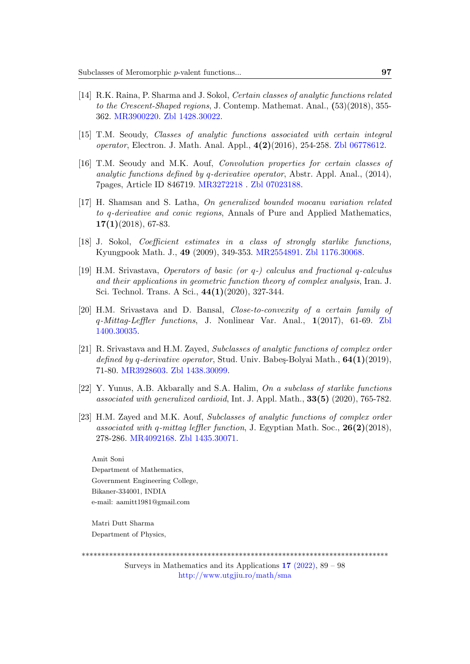- <span id="page-8-7"></span>[14] R.K. Raina, P. Sharma and J. Sokol, Certain classes of analytic functions related to the Crescent-Shaped regions, J. Contemp. Mathemat. Anal., (53)(2018), 355- 362. [MR3900220.](http://www.ams.org/mathscinet-getitem?mr=3900220) [Zbl 1428.30022.](https://zbmath.org/?q=an:1428.30022)
- <span id="page-8-4"></span>[15] T.M. Seoudy, Classes of analytic functions associated with certain integral operator, Electron. J. Math. Anal. Appl., 4(2)(2016), 254-258. [Zbl 06778612.](https://zbmath.org/?q=an: 06778612)
- <span id="page-8-5"></span>[16] T.M. Seoudy and M.K. Aouf, Convolution properties for certain classes of analytic functions defined by q-derivative operator, Abstr. Appl. Anal.,  $(2014)$ , 7pages, Article ID 846719. [MR3272218](http://www.ams.org/mathscinet-getitem?mr=3272218 ) . [Zbl 07023188.](https://zbmath.org/?q=an: 07023188)
- <span id="page-8-0"></span>[17] H. Shamsan and S. Latha, On generalized bounded mocanu variation related to q-derivative and conic regions, Annals of Pure and Applied Mathematics,  $17(1)(2018)$ , 67-83.
- <span id="page-8-8"></span>[18] J. Sokol, Coefficient estimates in a class of strongly starlike functions, Kyungpook Math. J., 49 (2009), 349-353. [MR2554891.](http://www.ams.org/mathscinet-getitem?mr=2554891 ) [Zbl 1176.30068.](https://zbmath.org/?q=an: 1176.30068)
- <span id="page-8-1"></span>[19] H.M. Srivastava, Operators of basic (or q-) calculus and fractional q-calculus and their applications in geometric function theory of complex analysis, Iran. J. Sci. Technol. Trans. A Sci., 44(1)(2020), 327-344.
- <span id="page-8-2"></span>[20] H.M. Srivastava and D. Bansal, Close-to-convexity of a certain family of q-Mittag-Leffler functions, J. Nonlinear Var. Anal., 1(2017), 61-69. [Zbl](https://zbmath.org/?q=an: 1400.30035) [1400.30035.](https://zbmath.org/?q=an: 1400.30035)
- <span id="page-8-6"></span>[21] R. Srivastava and H.M. Zayed, Subclasses of analytic functions of complex order defined by q-derivative operator, Stud. Univ. Babes-Bolyai Math.,  $64(1)(2019)$ , 71-80. [MR3928603.](http://www.ams.org/mathscinet-getitem?mr=3928603 ) [Zbl 1438.30099.](https://zbmath.org/?q=an:1438.30099)
- <span id="page-8-9"></span>[22] Y. Yunus, A.B. Akbarally and S.A. Halim, On a subclass of starlike functions associated with generalized cardioid, Int. J. Appl. Math., 33(5) (2020), 765-782.
- <span id="page-8-3"></span>[23] H.M. Zayed and M.K. Aouf, Subclasses of analytic functions of complex order associated with q-mittag leffler function, J. Egyptian Math. Soc.,  $26(2)(2018)$ , 278-286. [MR4092168.](http://www.ams.org/mathscinet-getitem?mr=4092168) [Zbl 1435.30071.](https://zbmath.org/?q=an: 1435.30071)

Amit Soni Department of Mathematics, Government Engineering College, Bikaner-334001, INDIA e-mail: aamitt1981@gmail.com

Matri Dutt Sharma Department of Physics,

\*\*\*\*\*\*\*\*\*\*\*\*\*\*\*\*\*\*\*\*\*\*\*\*\*\*\*\*\*\*\*\*\*\*\*\*\*\*\*\*\*\*\*\*\*\*\*\*\*\*\*\*\*\*\*\*\*\*\*\*\*\*\*\*\*\*\*\*\*\*\*\*\*\*\*\*\*\*